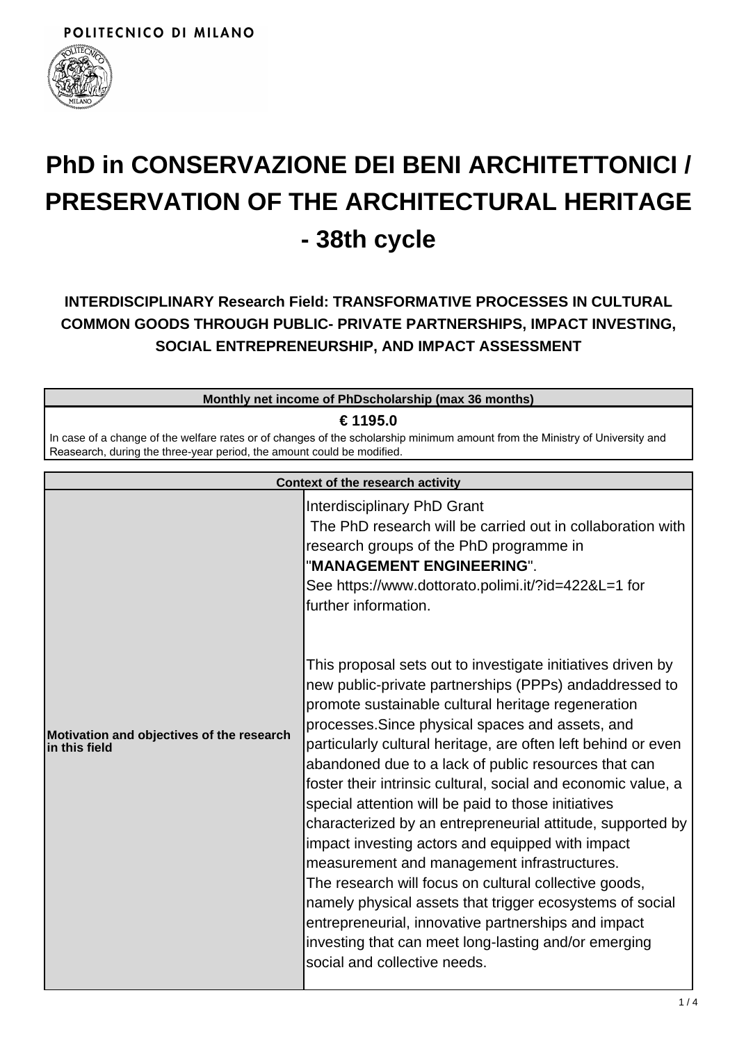

# **PhD in CONSERVAZIONE DEI BENI ARCHITETTONICI / PRESERVATION OF THE ARCHITECTURAL HERITAGE - 38th cycle**

**INTERDISCIPLINARY Research Field: TRANSFORMATIVE PROCESSES IN CULTURAL COMMON GOODS THROUGH PUBLIC- PRIVATE PARTNERSHIPS, IMPACT INVESTING, SOCIAL ENTREPRENEURSHIP, AND IMPACT ASSESSMENT**

| Monthly net income of PhDscholarship (max 36 months)                                                                                                                                                   |                                                                                           |  |
|--------------------------------------------------------------------------------------------------------------------------------------------------------------------------------------------------------|-------------------------------------------------------------------------------------------|--|
| € 1195.0                                                                                                                                                                                               |                                                                                           |  |
| In case of a change of the welfare rates or of changes of the scholarship minimum amount from the Ministry of University and<br>Reasearch, during the three-year period, the amount could be modified. |                                                                                           |  |
| Context of the research activity                                                                                                                                                                       |                                                                                           |  |
|                                                                                                                                                                                                        | Interdisciplinary PhD Grant<br>The PhD research will be carried out in collaboration with |  |

|                                                            | Interdisciplinary PhD Grant<br>The PhD research will be carried out in collaboration with<br>research groups of the PhD programme in                                                                                                                                                                                                                                                                                                                                                                                                                                                                                                                                                                                                                                                                                                                                                                                  |
|------------------------------------------------------------|-----------------------------------------------------------------------------------------------------------------------------------------------------------------------------------------------------------------------------------------------------------------------------------------------------------------------------------------------------------------------------------------------------------------------------------------------------------------------------------------------------------------------------------------------------------------------------------------------------------------------------------------------------------------------------------------------------------------------------------------------------------------------------------------------------------------------------------------------------------------------------------------------------------------------|
|                                                            | "MANAGEMENT ENGINEERING".<br>See https://www.dottorato.polimi.it/?id=422&L=1 for<br>further information.                                                                                                                                                                                                                                                                                                                                                                                                                                                                                                                                                                                                                                                                                                                                                                                                              |
| Motivation and objectives of the research<br>in this field | This proposal sets out to investigate initiatives driven by<br>new public-private partnerships (PPPs) andaddressed to<br>promote sustainable cultural heritage regeneration<br>processes. Since physical spaces and assets, and<br>particularly cultural heritage, are often left behind or even<br>abandoned due to a lack of public resources that can<br>foster their intrinsic cultural, social and economic value, a<br>special attention will be paid to those initiatives<br>characterized by an entrepreneurial attitude, supported by<br>impact investing actors and equipped with impact<br>measurement and management infrastructures.<br>The research will focus on cultural collective goods,<br>namely physical assets that trigger ecosystems of social<br>entrepreneurial, innovative partnerships and impact<br>investing that can meet long-lasting and/or emerging<br>social and collective needs. |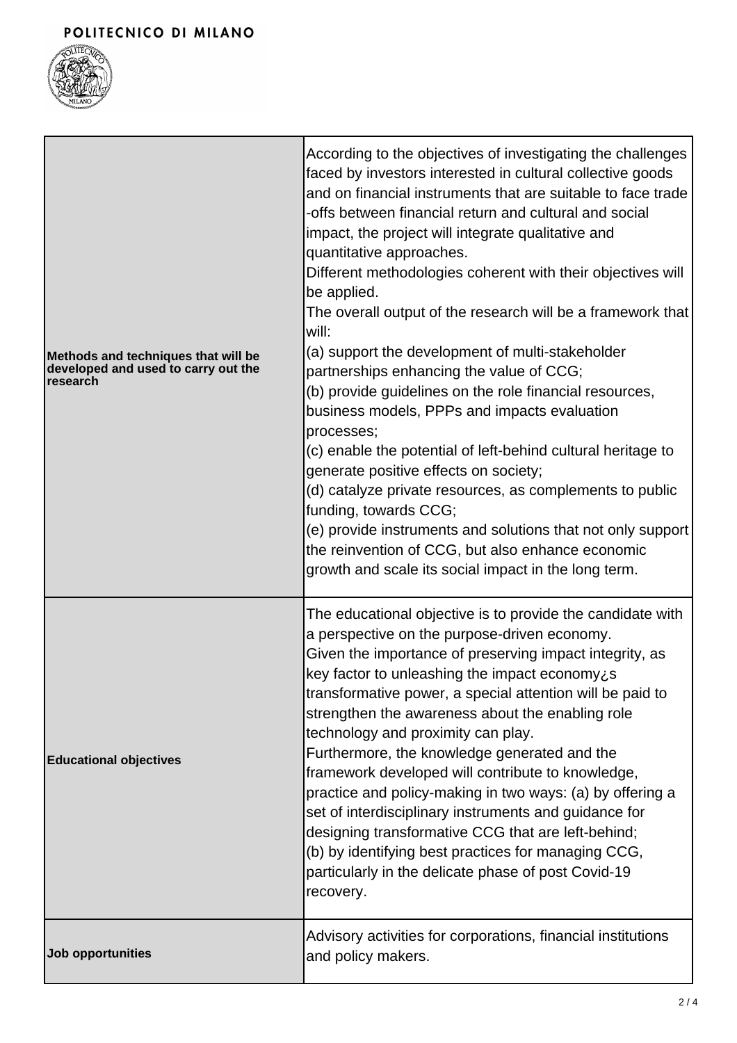## POLITECNICO DI MILANO



| Methods and techniques that will be<br>developed and used to carry out the<br>research | According to the objectives of investigating the challenges<br>faced by investors interested in cultural collective goods<br>and on financial instruments that are suitable to face trade<br>-offs between financial return and cultural and social<br>impact, the project will integrate qualitative and<br>quantitative approaches.<br>Different methodologies coherent with their objectives will<br>be applied.<br>The overall output of the research will be a framework that<br>will:<br>(a) support the development of multi-stakeholder<br>partnerships enhancing the value of CCG;<br>(b) provide guidelines on the role financial resources,<br>business models, PPPs and impacts evaluation<br>processes;<br>(c) enable the potential of left-behind cultural heritage to<br>generate positive effects on society;<br>(d) catalyze private resources, as complements to public<br>funding, towards CCG;<br>(e) provide instruments and solutions that not only support<br>the reinvention of CCG, but also enhance economic<br>growth and scale its social impact in the long term. |
|----------------------------------------------------------------------------------------|------------------------------------------------------------------------------------------------------------------------------------------------------------------------------------------------------------------------------------------------------------------------------------------------------------------------------------------------------------------------------------------------------------------------------------------------------------------------------------------------------------------------------------------------------------------------------------------------------------------------------------------------------------------------------------------------------------------------------------------------------------------------------------------------------------------------------------------------------------------------------------------------------------------------------------------------------------------------------------------------------------------------------------------------------------------------------------------------|
| <b>Educational objectives</b>                                                          | The educational objective is to provide the candidate with<br>a perspective on the purpose-driven economy.<br>Given the importance of preserving impact integrity, as<br>key factor to unleashing the impact economy¿s<br>transformative power, a special attention will be paid to<br>strengthen the awareness about the enabling role<br>technology and proximity can play.<br>Furthermore, the knowledge generated and the<br>framework developed will contribute to knowledge,<br>practice and policy-making in two ways: (a) by offering a<br>set of interdisciplinary instruments and guidance for<br>designing transformative CCG that are left-behind;<br>(b) by identifying best practices for managing CCG,<br>particularly in the delicate phase of post Covid-19<br>recovery.                                                                                                                                                                                                                                                                                                      |
| <b>Job opportunities</b>                                                               | Advisory activities for corporations, financial institutions<br>and policy makers.                                                                                                                                                                                                                                                                                                                                                                                                                                                                                                                                                                                                                                                                                                                                                                                                                                                                                                                                                                                                             |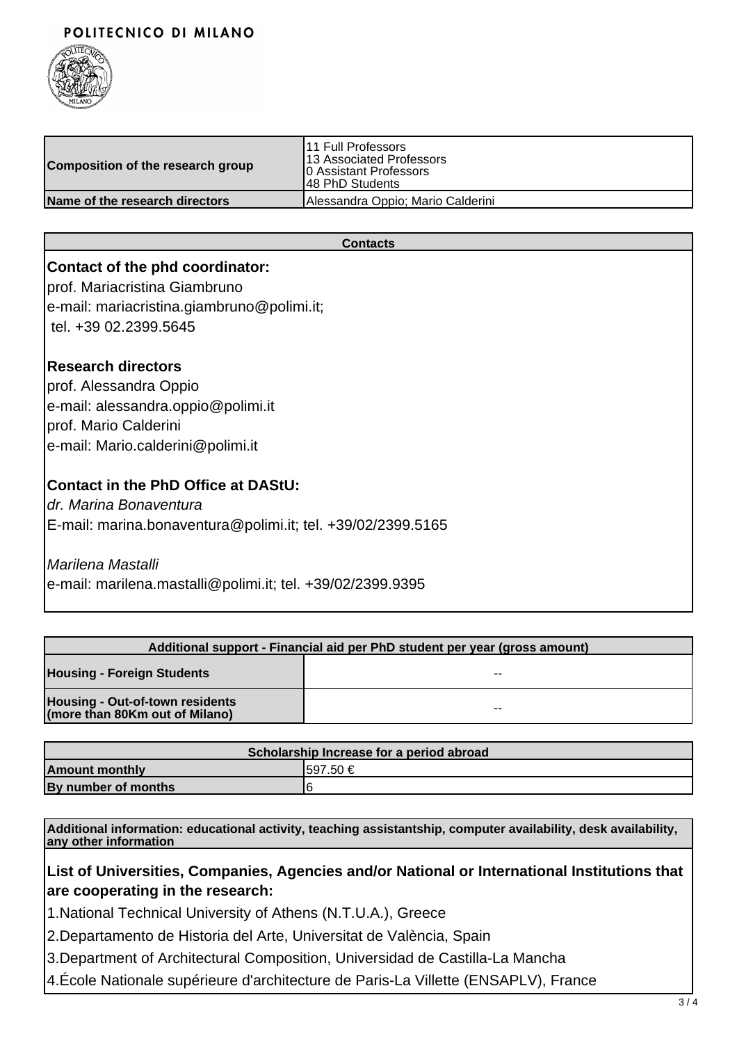#### POLITECNICO DI MILANO



| Composition of the research group | 11 Full Professors<br>13 Associated Professors<br>10 Assistant Professors<br>148 PhD Students |
|-----------------------------------|-----------------------------------------------------------------------------------------------|
| Name of the research directors    | Alessandra Oppio; Mario Calderini                                                             |

#### **Contacts**

#### **Contact of the phd coordinator:**

prof. Mariacristina Giambruno e-mail: mariacristina.giambruno@polimi.it;

tel. +39 02.2399.5645

#### **Research directors**

prof. Alessandra Oppio e-mail: alessandra.oppio@polimi.it prof. Mario Calderini e-mail: Mario.calderini@polimi.it

#### **Contact in the PhD Office at DAStU:**

dr. Marina Bonaventura E-mail: marina.bonaventura@polimi.it; tel. +39/02/2399.5165

#### Marilena Mastalli

e-mail: marilena.mastalli@polimi.it; tel. +39/02/2399.9395

| Additional support - Financial aid per PhD student per year (gross amount) |       |
|----------------------------------------------------------------------------|-------|
| <b>Housing - Foreign Students</b>                                          | --    |
| Housing - Out-of-town residents<br>(more than 80Km out of Milano)          | $- -$ |

| Scholarship Increase for a period abroad |          |  |
|------------------------------------------|----------|--|
| <b>Amount monthly</b>                    | 1597.50€ |  |
| By number of months                      | F        |  |

**Additional information: educational activity, teaching assistantship, computer availability, desk availability, any other information**

### **List of Universities, Companies, Agencies and/or National or International Institutions that are cooperating in the research:**

1.National Technical University of Athens (N.T.U.A.), Greece

2.Departamento de Historia del Arte, Universitat de València, Spain

3.Department of Architectural Composition, Universidad de Castilla-La Mancha

4.École Nationale supérieure d'architecture de Paris-La Villette (ENSAPLV), France